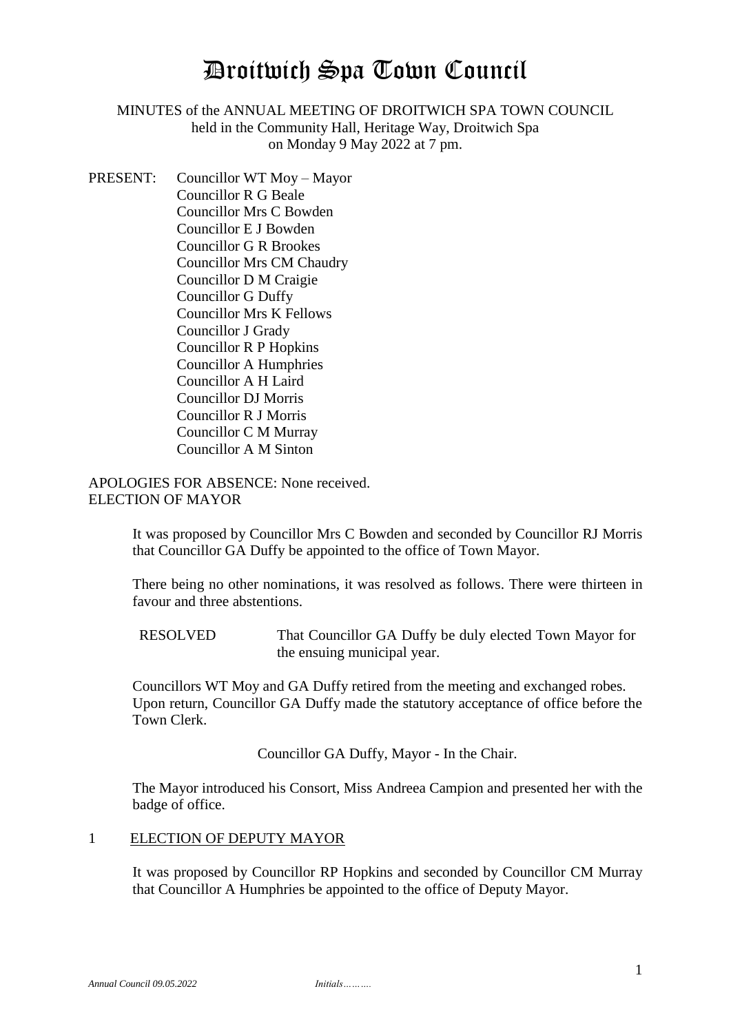# Droitwich Spa Town Council

# MINUTES of the ANNUAL MEETING OF DROITWICH SPA TOWN COUNCIL held in the Community Hall, Heritage Way, Droitwich Spa on Monday 9 May 2022 at 7 pm.

PRESENT: Councillor WT Moy – Mayor Councillor R G Beale Councillor Mrs C Bowden Councillor E J Bowden Councillor G R Brookes Councillor Mrs CM Chaudry Councillor D M Craigie Councillor G Duffy Councillor Mrs K Fellows Councillor J Grady Councillor R P Hopkins Councillor A Humphries Councillor A H Laird Councillor DJ Morris Councillor R J Morris Councillor C M Murray Councillor A M Sinton

APOLOGIES FOR ABSENCE: None received. ELECTION OF MAYOR

> It was proposed by Councillor Mrs C Bowden and seconded by Councillor RJ Morris that Councillor GA Duffy be appointed to the office of Town Mayor.

> There being no other nominations, it was resolved as follows. There were thirteen in favour and three abstentions.

RESOLVED That Councillor GA Duffy be duly elected Town Mayor for the ensuing municipal year.

Councillors WT Moy and GA Duffy retired from the meeting and exchanged robes. Upon return, Councillor GA Duffy made the statutory acceptance of office before the Town Clerk.

Councillor GA Duffy, Mayor - In the Chair.

The Mayor introduced his Consort, Miss Andreea Campion and presented her with the badge of office.

#### 1 ELECTION OF DEPUTY MAYOR

It was proposed by Councillor RP Hopkins and seconded by Councillor CM Murray that Councillor A Humphries be appointed to the office of Deputy Mayor.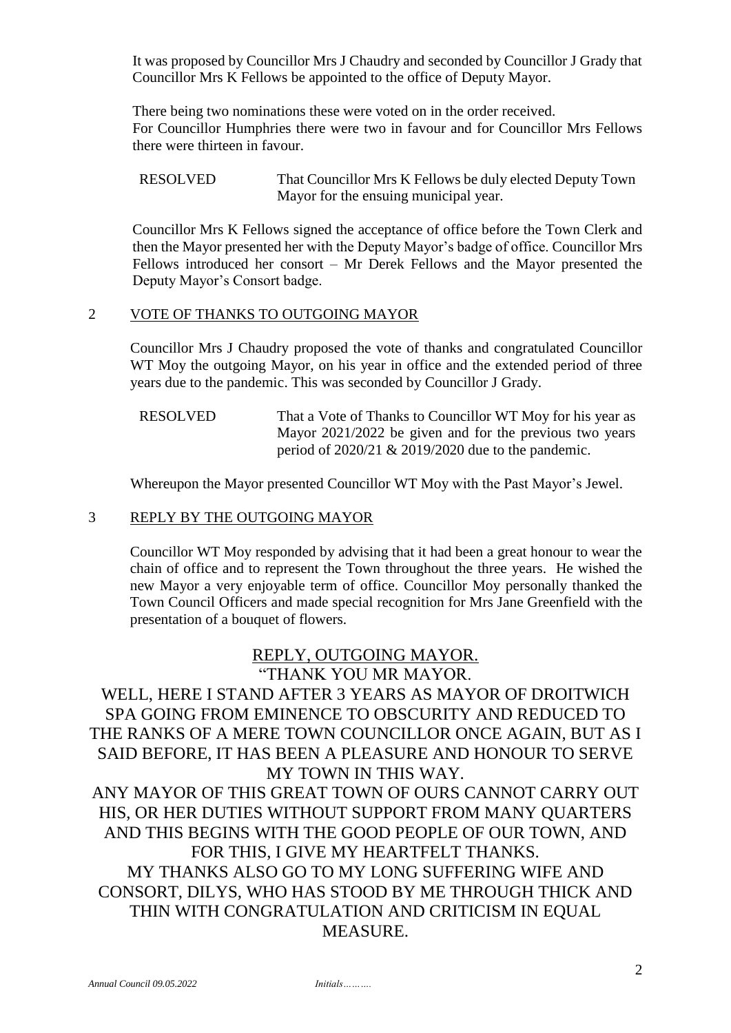It was proposed by Councillor Mrs J Chaudry and seconded by Councillor J Grady that Councillor Mrs K Fellows be appointed to the office of Deputy Mayor.

There being two nominations these were voted on in the order received. For Councillor Humphries there were two in favour and for Councillor Mrs Fellows there were thirteen in favour.

Councillor Mrs K Fellows signed the acceptance of office before the Town Clerk and then the Mayor presented her with the Deputy Mayor's badge of office. Councillor Mrs Fellows introduced her consort – Mr Derek Fellows and the Mayor presented the Deputy Mayor's Consort badge.

#### 2 VOTE OF THANKS TO OUTGOING MAYOR

Councillor Mrs J Chaudry proposed the vote of thanks and congratulated Councillor WT Moy the outgoing Mayor, on his year in office and the extended period of three years due to the pandemic. This was seconded by Councillor J Grady.

RESOLVED That a Vote of Thanks to Councillor WT Moy for his year as Mayor 2021/2022 be given and for the previous two years period of 2020/21 & 2019/2020 due to the pandemic.

Whereupon the Mayor presented Councillor WT Moy with the Past Mayor's Jewel.

#### 3 REPLY BY THE OUTGOING MAYOR

Councillor WT Moy responded by advising that it had been a great honour to wear the chain of office and to represent the Town throughout the three years. He wished the new Mayor a very enjoyable term of office. Councillor Moy personally thanked the Town Council Officers and made special recognition for Mrs Jane Greenfield with the presentation of a bouquet of flowers.

## REPLY, OUTGOING MAYOR. "THANK YOU MR MAYOR.

# WELL, HERE I STAND AFTER 3 YEARS AS MAYOR OF DROITWICH SPA GOING FROM EMINENCE TO OBSCURITY AND REDUCED TO THE RANKS OF A MERE TOWN COUNCILLOR ONCE AGAIN, BUT AS I SAID BEFORE, IT HAS BEEN A PLEASURE AND HONOUR TO SERVE MY TOWN IN THIS WAY.

ANY MAYOR OF THIS GREAT TOWN OF OURS CANNOT CARRY OUT HIS, OR HER DUTIES WITHOUT SUPPORT FROM MANY QUARTERS AND THIS BEGINS WITH THE GOOD PEOPLE OF OUR TOWN, AND FOR THIS, I GIVE MY HEARTFELT THANKS. MY THANKS ALSO GO TO MY LONG SUFFERING WIFE AND CONSORT, DILYS, WHO HAS STOOD BY ME THROUGH THICK AND THIN WITH CONGRATULATION AND CRITICISM IN EQUAL MEASURE.

RESOLVED That Councillor Mrs K Fellows be duly elected Deputy Town Mayor for the ensuing municipal year.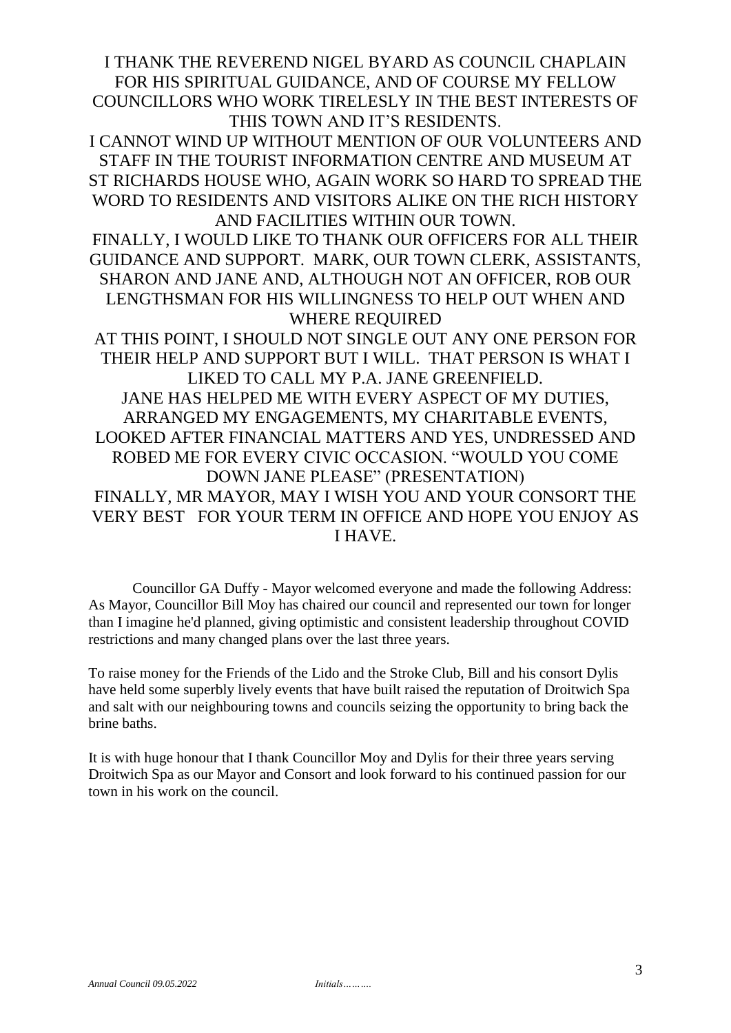I THANK THE REVEREND NIGEL BYARD AS COUNCIL CHAPLAIN FOR HIS SPIRITUAL GUIDANCE, AND OF COURSE MY FELLOW COUNCILLORS WHO WORK TIRELESLY IN THE BEST INTERESTS OF THIS TOWN AND IT'S RESIDENTS.

I CANNOT WIND UP WITHOUT MENTION OF OUR VOLUNTEERS AND STAFF IN THE TOURIST INFORMATION CENTRE AND MUSEUM AT ST RICHARDS HOUSE WHO, AGAIN WORK SO HARD TO SPREAD THE WORD TO RESIDENTS AND VISITORS ALIKE ON THE RICH HISTORY AND FACILITIES WITHIN OUR TOWN.

FINALLY, I WOULD LIKE TO THANK OUR OFFICERS FOR ALL THEIR GUIDANCE AND SUPPORT. MARK, OUR TOWN CLERK, ASSISTANTS, SHARON AND JANE AND, ALTHOUGH NOT AN OFFICER, ROB OUR LENGTHSMAN FOR HIS WILLINGNESS TO HELP OUT WHEN AND WHERE REQUIRED

AT THIS POINT, I SHOULD NOT SINGLE OUT ANY ONE PERSON FOR THEIR HELP AND SUPPORT BUT I WILL. THAT PERSON IS WHAT I LIKED TO CALL MY P.A. JANE GREENFIELD. JANE HAS HELPED ME WITH EVERY ASPECT OF MY DUTIES, ARRANGED MY ENGAGEMENTS, MY CHARITABLE EVENTS, LOOKED AFTER FINANCIAL MATTERS AND YES, UNDRESSED AND ROBED ME FOR EVERY CIVIC OCCASION. "WOULD YOU COME DOWN JANE PLEASE" (PRESENTATION) FINALLY, MR MAYOR, MAY I WISH YOU AND YOUR CONSORT THE VERY BEST FOR YOUR TERM IN OFFICE AND HOPE YOU ENJOY AS I HAVE.

Councillor GA Duffy - Mayor welcomed everyone and made the following Address: As Mayor, Councillor Bill Moy has chaired our council and represented our town for longer than I imagine he'd planned, giving optimistic and consistent leadership throughout COVID restrictions and many changed plans over the last three years.

To raise money for the Friends of the Lido and the Stroke Club, Bill and his consort Dylis have held some superbly lively events that have built raised the reputation of Droitwich Spa and salt with our neighbouring towns and councils seizing the opportunity to bring back the brine baths.

It is with huge honour that I thank Councillor Moy and Dylis for their three years serving Droitwich Spa as our Mayor and Consort and look forward to his continued passion for our town in his work on the council.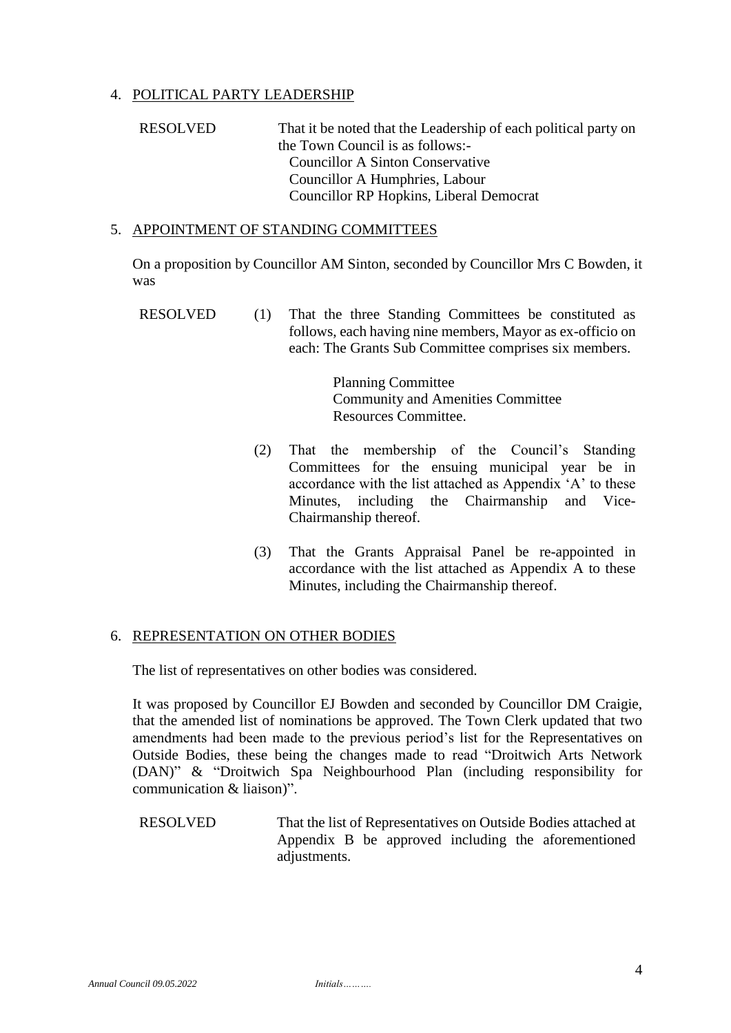## 4. POLITICAL PARTY LEADERSHIP

# RESOLVED That it be noted that the Leadership of each political party on the Town Council is as follows:- Councillor A Sinton Conservative Councillor A Humphries, Labour Councillor RP Hopkins, Liberal Democrat

#### 5. APPOINTMENT OF STANDING COMMITTEES

On a proposition by Councillor AM Sinton, seconded by Councillor Mrs C Bowden, it was

RESOLVED (1) That the three Standing Committees be constituted as follows, each having nine members, Mayor as ex-officio on each: The Grants Sub Committee comprises six members.

> Planning Committee Community and Amenities Committee Resources Committee.

- (2) That the membership of the Council's Standing Committees for the ensuing municipal year be in accordance with the list attached as Appendix 'A' to these Minutes, including the Chairmanship and Vice-Chairmanship thereof.
- (3) That the Grants Appraisal Panel be re-appointed in accordance with the list attached as Appendix A to these Minutes, including the Chairmanship thereof.

#### 6. REPRESENTATION ON OTHER BODIES

The list of representatives on other bodies was considered.

It was proposed by Councillor EJ Bowden and seconded by Councillor DM Craigie, that the amended list of nominations be approved. The Town Clerk updated that two amendments had been made to the previous period's list for the Representatives on Outside Bodies, these being the changes made to read "Droitwich Arts Network (DAN)" & "Droitwich Spa Neighbourhood Plan (including responsibility for communication & liaison)".

RESOLVED That the list of Representatives on Outside Bodies attached at Appendix B be approved including the aforementioned adjustments.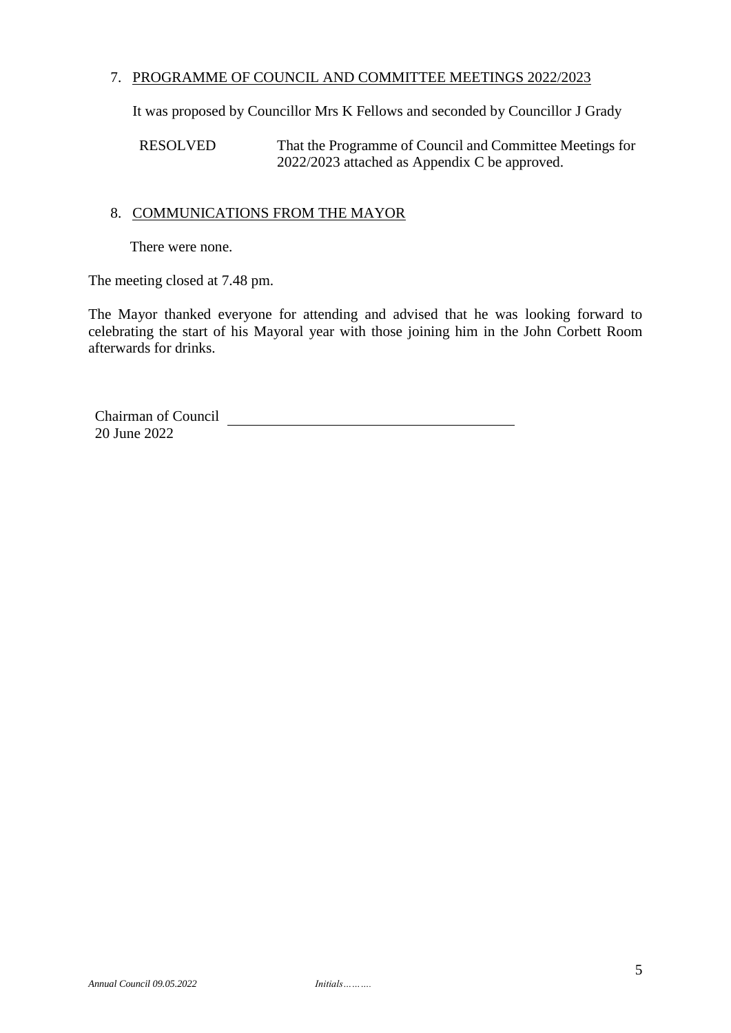### 7. PROGRAMME OF COUNCIL AND COMMITTEE MEETINGS 2022/2023

It was proposed by Councillor Mrs K Fellows and seconded by Councillor J Grady

RESOLVED That the Programme of Council and Committee Meetings for 2022/2023 attached as Appendix C be approved.

### 8. COMMUNICATIONS FROM THE MAYOR

There were none.

The meeting closed at 7.48 pm.

The Mayor thanked everyone for attending and advised that he was looking forward to celebrating the start of his Mayoral year with those joining him in the John Corbett Room afterwards for drinks.

Chairman of Council 20 June 2022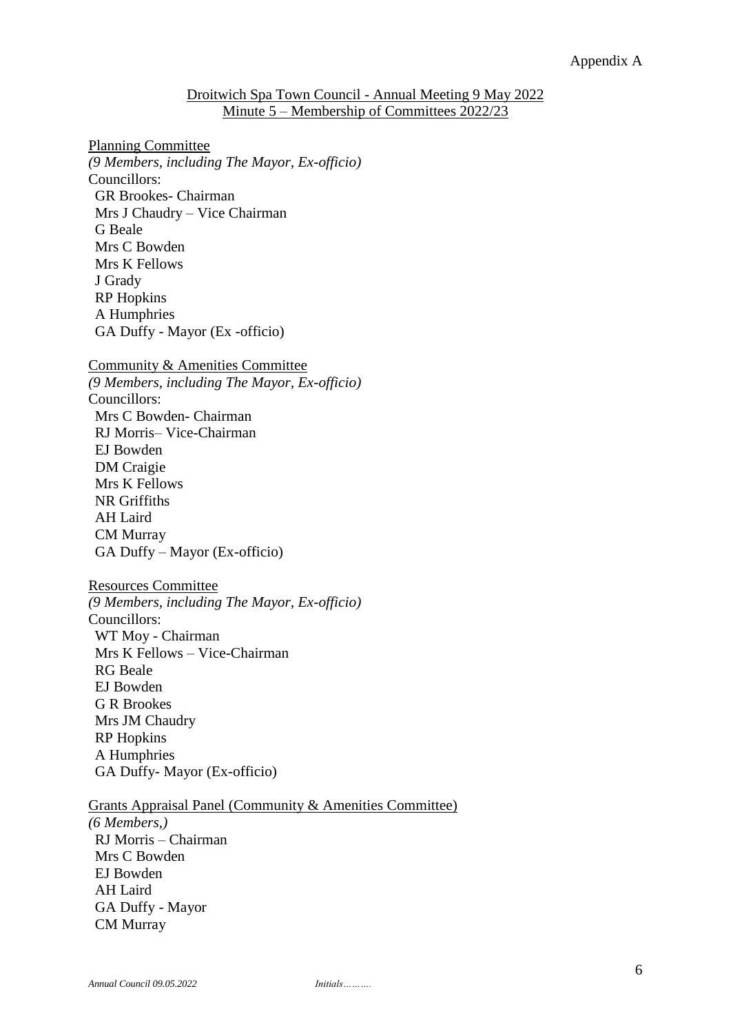#### Droitwich Spa Town Council - Annual Meeting 9 May 2022 Minute 5 – Membership of Committees 2022/23

Planning Committee *(9 Members, including The Mayor, Ex-officio)* Councillors: GR Brookes- Chairman Mrs J Chaudry – Vice Chairman G Beale Mrs C Bowden Mrs K Fellows J Grady RP Hopkins A Humphries GA Duffy - Mayor (Ex -officio)

Community & Amenities Committee

*(9 Members, including The Mayor, Ex-officio)* Councillors: Mrs C Bowden- Chairman RJ Morris– Vice-Chairman EJ Bowden DM Craigie Mrs K Fellows NR Griffiths AH Laird CM Murray GA Duffy – Mayor (Ex-officio)

#### Resources Committee

*(9 Members, including The Mayor, Ex-officio)* Councillors: WT Moy - Chairman Mrs K Fellows – Vice-Chairman RG Beale EJ Bowden G R Brookes Mrs JM Chaudry RP Hopkins A Humphries GA Duffy- Mayor (Ex-officio)

#### Grants Appraisal Panel (Community & Amenities Committee)

*(6 Members,)* RJ Morris – Chairman Mrs C Bowden EJ Bowden AH Laird GA Duffy - Mayor CM Murray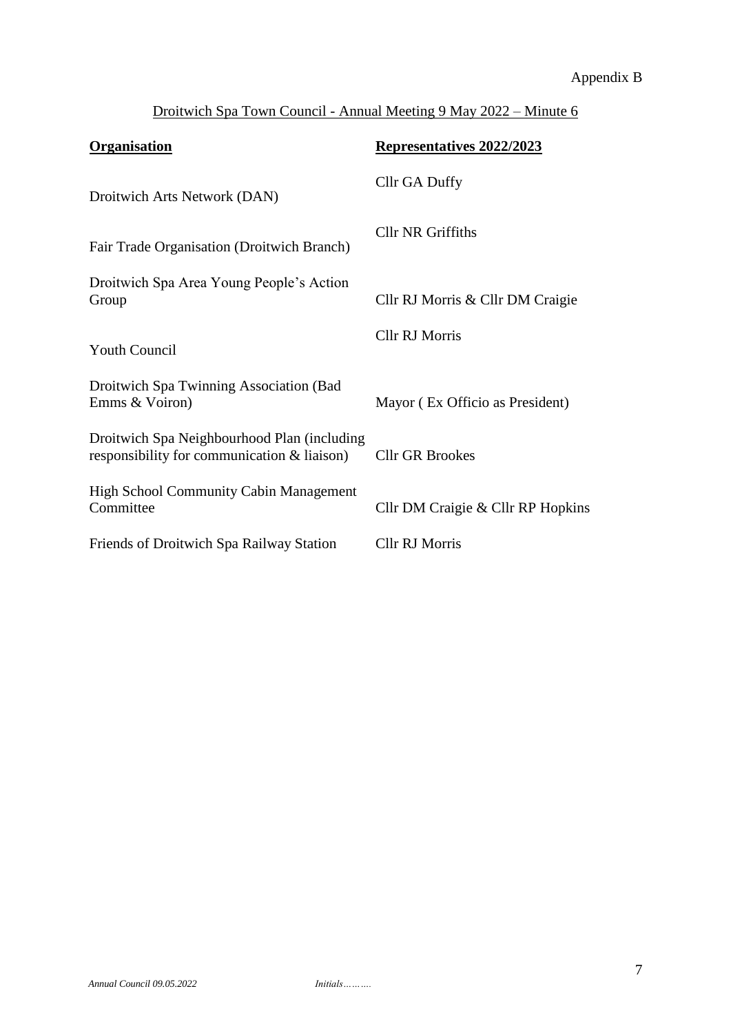# Appendix B

# Droitwich Spa Town Council - Annual Meeting 9 May 2022 – Minute 6

| <b>Organisation</b>                                                                           | Representatives 2022/2023         |
|-----------------------------------------------------------------------------------------------|-----------------------------------|
| Droitwich Arts Network (DAN)                                                                  | Cllr GA Duffy                     |
| Fair Trade Organisation (Droitwich Branch)                                                    | <b>Cllr NR Griffiths</b>          |
| Droitwich Spa Area Young People's Action<br>Group                                             | Cllr RJ Morris & Cllr DM Craigie  |
| <b>Youth Council</b>                                                                          | Cllr RJ Morris                    |
| Droitwich Spa Twinning Association (Bad<br>Emms & Voiron)                                     | Mayor (Ex Officio as President)   |
| Droitwich Spa Neighbourhood Plan (including<br>responsibility for communication $\&$ liaison) | <b>Cllr GR Brookes</b>            |
| <b>High School Community Cabin Management</b><br>Committee                                    | Cllr DM Craigie & Cllr RP Hopkins |
| Friends of Droitwich Spa Railway Station                                                      | <b>Cllr RJ Morris</b>             |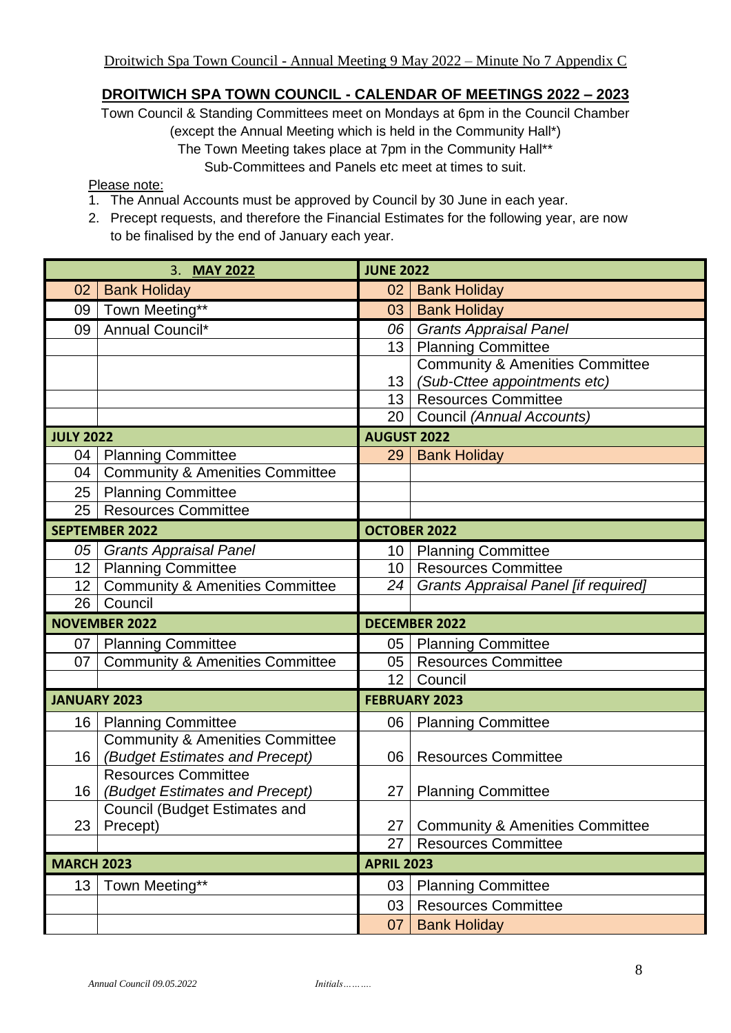# **DROITWICH SPA TOWN COUNCIL - CALENDAR OF MEETINGS 2022 – 2023**

Town Council & Standing Committees meet on Mondays at 6pm in the Council Chamber (except the Annual Meeting which is held in the Community Hall\*) The Town Meeting takes place at 7pm in the Community Hall\*\*

Sub-Committees and Panels etc meet at times to suit.

#### Please note:

- 1. The Annual Accounts must be approved by Council by 30 June in each year.
- 2. Precept requests, and therefore the Financial Estimates for the following year, are now to be finalised by the end of January each year.

| 3. MAY 2022       |                                            | <b>JUNE 2022</b>     |                                             |  |
|-------------------|--------------------------------------------|----------------------|---------------------------------------------|--|
| 02                | <b>Bank Holiday</b>                        | 02                   | <b>Bank Holiday</b>                         |  |
| 09                | Town Meeting**                             | 03                   | <b>Bank Holiday</b>                         |  |
| 09                | Annual Council*                            | 06                   | <b>Grants Appraisal Panel</b>               |  |
|                   |                                            | 13                   | <b>Planning Committee</b>                   |  |
|                   |                                            |                      | <b>Community &amp; Amenities Committee</b>  |  |
|                   |                                            | 13                   | (Sub-Cttee appointments etc)                |  |
|                   |                                            | 13 <sup>°</sup>      | <b>Resources Committee</b>                  |  |
|                   |                                            | 20                   | Council (Annual Accounts)                   |  |
| <b>JULY 2022</b>  |                                            |                      | <b>AUGUST 2022</b>                          |  |
| 04                | <b>Planning Committee</b>                  | 29                   | <b>Bank Holiday</b>                         |  |
| 04                | <b>Community &amp; Amenities Committee</b> |                      |                                             |  |
| 25                | <b>Planning Committee</b>                  |                      |                                             |  |
| 25                | <b>Resources Committee</b>                 |                      |                                             |  |
|                   | <b>SEPTEMBER 2022</b>                      | <b>OCTOBER 2022</b>  |                                             |  |
| 05                | <b>Grants Appraisal Panel</b>              | 10 <sup>1</sup>      | <b>Planning Committee</b>                   |  |
| 12 <sub>1</sub>   | <b>Planning Committee</b>                  | 10                   | <b>Resources Committee</b>                  |  |
| 12 <sub>2</sub>   | <b>Community &amp; Amenities Committee</b> | 24                   | <b>Grants Appraisal Panel [if required]</b> |  |
| 26                | Council                                    |                      |                                             |  |
|                   | <b>NOVEMBER 2022</b>                       | <b>DECEMBER 2022</b> |                                             |  |
| 07 <sub>1</sub>   | <b>Planning Committee</b>                  | 05 <sub>1</sub>      | <b>Planning Committee</b>                   |  |
| 07                | <b>Community &amp; Amenities Committee</b> | 05                   | <b>Resources Committee</b>                  |  |
|                   |                                            | 12 <sup>2</sup>      | Council                                     |  |
|                   | <b>JANUARY 2023</b>                        | <b>FEBRUARY 2023</b> |                                             |  |
| 16                | <b>Planning Committee</b>                  | 06                   | <b>Planning Committee</b>                   |  |
|                   | <b>Community &amp; Amenities Committee</b> |                      |                                             |  |
| 16 <sup>°</sup>   | (Budget Estimates and Precept)             | 06                   | <b>Resources Committee</b>                  |  |
|                   | <b>Resources Committee</b>                 |                      |                                             |  |
| 16                | (Budget Estimates and Precept)             | 27                   | <b>Planning Committee</b>                   |  |
|                   | Council (Budget Estimates and              |                      |                                             |  |
| 23                | Precept)                                   | 27                   | <b>Community &amp; Amenities Committee</b>  |  |
|                   |                                            | 27                   | <b>Resources Committee</b>                  |  |
| <b>MARCH 2023</b> |                                            | <b>APRIL 2023</b>    |                                             |  |
| 13                | Town Meeting**                             | 03                   | <b>Planning Committee</b>                   |  |
|                   |                                            | 03                   | <b>Resources Committee</b>                  |  |
|                   |                                            | 07                   | <b>Bank Holiday</b>                         |  |